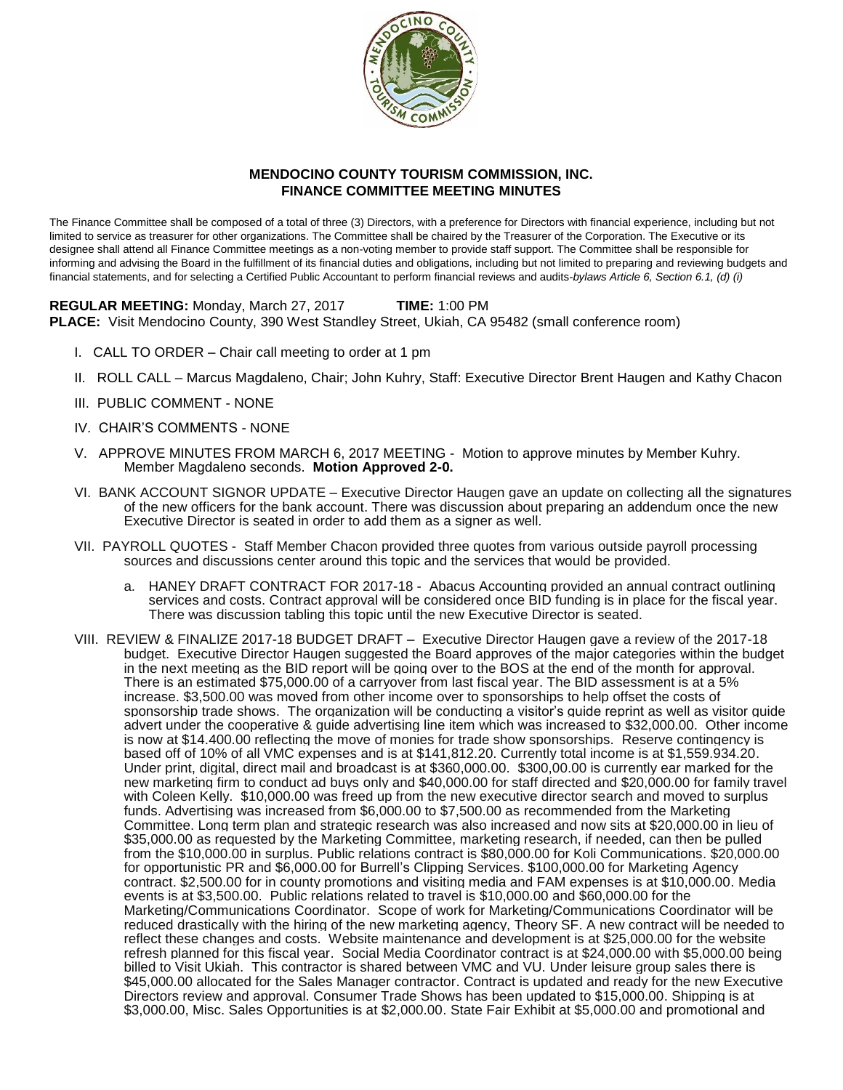

## **MENDOCINO COUNTY TOURISM COMMISSION, INC. FINANCE COMMITTEE MEETING MINUTES**

The Finance Committee shall be composed of a total of three (3) Directors, with a preference for Directors with financial experience, including but not limited to service as treasurer for other organizations. The Committee shall be chaired by the Treasurer of the Corporation. The Executive or its designee shall attend all Finance Committee meetings as a non-voting member to provide staff support. The Committee shall be responsible for informing and advising the Board in the fulfillment of its financial duties and obligations, including but not limited to preparing and reviewing budgets and financial statements, and for selecting a Certified Public Accountant to perform financial reviews and audits-*bylaws Article 6, Section 6.1, (d) (i)*

**REGULAR MEETING:** Monday, March 27, 2017 **TIME:** 1:00 PM **PLACE:** Visit Mendocino County, 390 West Standley Street, Ukiah, CA 95482 (small conference room)

- I. CALL TO ORDER Chair call meeting to order at 1 pm
- II. ROLL CALL Marcus Magdaleno, Chair; John Kuhry, Staff: Executive Director Brent Haugen and Kathy Chacon
- III. PUBLIC COMMENT NONE
- IV. CHAIR'S COMMENTS NONE
- V. APPROVE MINUTES FROM MARCH 6, 2017 MEETING Motion to approve minutes by Member Kuhry. Member Magdaleno seconds. **Motion Approved 2-0.**
- VI. BANK ACCOUNT SIGNOR UPDATE Executive Director Haugen gave an update on collecting all the signatures of the new officers for the bank account. There was discussion about preparing an addendum once the new Executive Director is seated in order to add them as a signer as well.
- VII. PAYROLL QUOTES Staff Member Chacon provided three quotes from various outside payroll processing sources and discussions center around this topic and the services that would be provided.
	- a. HANEY DRAFT CONTRACT FOR 2017-18 Abacus Accounting provided an annual contract outlining services and costs. Contract approval will be considered once BID funding is in place for the fiscal year. There was discussion tabling this topic until the new Executive Director is seated.
- VIII. REVIEW & FINALIZE 2017-18 BUDGET DRAFT Executive Director Haugen gave a review of the 2017-18 budget. Executive Director Haugen suggested the Board approves of the major categories within the budget in the next meeting as the BID report will be going over to the BOS at the end of the month for approval. There is an estimated \$75,000.00 of a carryover from last fiscal year. The BID assessment is at a 5% increase. \$3,500.00 was moved from other income over to sponsorships to help offset the costs of sponsorship trade shows. The organization will be conducting a visitor's guide reprint as well as visitor guide advert under the cooperative & guide advertising line item which was increased to \$32,000.00. Other income is now at \$14.400.00 reflecting the move of monies for trade show sponsorships. Reserve contingency is based off of 10% of all VMC expenses and is at \$141,812.20. Currently total income is at \$1,559.934.20. Under print, digital, direct mail and broadcast is at \$360,000.00. \$300,00.00 is currently ear marked for the new marketing firm to conduct ad buys only and \$40,000.00 for staff directed and \$20,000.00 for family travel with Coleen Kelly. \$10,000.00 was freed up from the new executive director search and moved to surplus funds. Advertising was increased from \$6,000.00 to \$7,500.00 as recommended from the Marketing Committee. Long term plan and strategic research was also increased and now sits at \$20,000.00 in lieu of \$35,000.00 as requested by the Marketing Committee, marketing research, if needed, can then be pulled from the \$10,000.00 in surplus. Public relations contract is \$80,000.00 for Koli Communications. \$20,000.00 for opportunistic PR and \$6,000.00 for Burrell's Clipping Services. \$100,000.00 for Marketing Agency contract. \$2,500.00 for in county promotions and visiting media and FAM expenses is at \$10,000.00. Media events is at \$3,500.00. Public relations related to travel is \$10,000.00 and \$60,000.00 for the Marketing/Communications Coordinator. Scope of work for Marketing/Communications Coordinator will be reduced drastically with the hiring of the new marketing agency, Theory SF. A new contract will be needed to reflect these changes and costs. Website maintenance and development is at \$25,000.00 for the website refresh planned for this fiscal year. Social Media Coordinator contract is at \$24,000.00 with \$5,000.00 being billed to Visit Ukiah. This contractor is shared between VMC and VU. Under leisure group sales there is \$45,000.00 allocated for the Sales Manager contractor. Contract is updated and ready for the new Executive Directors review and approval. Consumer Trade Shows has been updated to \$15,000.00. Shipping is at \$3,000.00, Misc. Sales Opportunities is at \$2,000.00. State Fair Exhibit at \$5,000.00 and promotional and